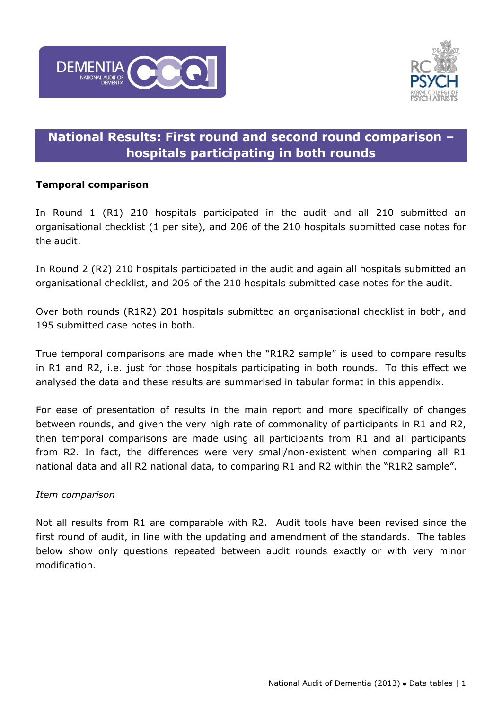



## **National Results: First round and second round comparison – hospitals participating in both rounds**

## **Temporal comparison**

In Round 1 (R1) 210 hospitals participated in the audit and all 210 submitted an organisational checklist (1 per site), and 206 of the 210 hospitals submitted case notes for the audit.

In Round 2 (R2) 210 hospitals participated in the audit and again all hospitals submitted an organisational checklist, and 206 of the 210 hospitals submitted case notes for the audit.

Over both rounds (R1R2) 201 hospitals submitted an organisational checklist in both, and 195 submitted case notes in both.

True temporal comparisons are made when the "R1R2 sample" is used to compare results in R1 and R2, i.e. just for those hospitals participating in both rounds. To this effect we analysed the data and these results are summarised in tabular format in this appendix.

For ease of presentation of results in the main report and more specifically of changes between rounds, and given the very high rate of commonality of participants in R1 and R2, then temporal comparisons are made using all participants from R1 and all participants from R2. In fact, the differences were very small/non-existent when comparing all R1 national data and all R2 national data, to comparing R1 and R2 within the "R1R2 sample".

## *Item comparison*

Not all results from R1 are comparable with R2. Audit tools have been revised since the first round of audit, in line with the updating and amendment of the standards. The tables below show only questions repeated between audit rounds exactly or with very minor modification.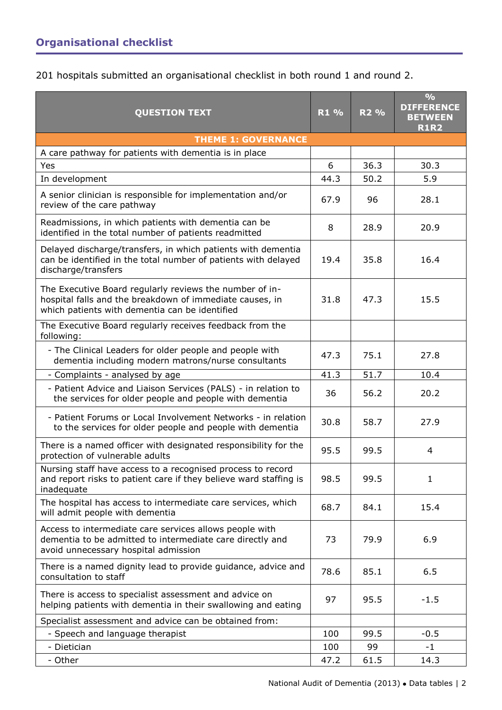201 hospitals submitted an organisational checklist in both round 1 and round 2.

| <b>QUESTION TEXT</b>                                                                                                                                                  | R1 % | R <sub>2</sub> % | $\frac{O}{O}$<br><b>DIFFERENCE</b><br><b>BETWEEN</b><br><b>R1R2</b> |
|-----------------------------------------------------------------------------------------------------------------------------------------------------------------------|------|------------------|---------------------------------------------------------------------|
| <b>THEME 1: GOVERNANCE</b>                                                                                                                                            |      |                  |                                                                     |
| A care pathway for patients with dementia is in place                                                                                                                 |      |                  |                                                                     |
| Yes                                                                                                                                                                   | 6    | 36.3             | 30.3                                                                |
| In development                                                                                                                                                        | 44.3 | 50.2             | 5.9                                                                 |
| A senior clinician is responsible for implementation and/or<br>review of the care pathway                                                                             | 67.9 | 96               | 28.1                                                                |
| Readmissions, in which patients with dementia can be<br>identified in the total number of patients readmitted                                                         | 8    | 28.9             | 20.9                                                                |
| Delayed discharge/transfers, in which patients with dementia<br>can be identified in the total number of patients with delayed<br>discharge/transfers                 | 19.4 | 35.8             | 16.4                                                                |
| The Executive Board regularly reviews the number of in-<br>hospital falls and the breakdown of immediate causes, in<br>which patients with dementia can be identified | 31.8 | 47.3             | 15.5                                                                |
| The Executive Board regularly receives feedback from the<br>following:                                                                                                |      |                  |                                                                     |
| - The Clinical Leaders for older people and people with<br>dementia including modern matrons/nurse consultants                                                        | 47.3 | 75.1             | 27.8                                                                |
| - Complaints - analysed by age                                                                                                                                        | 41.3 | 51.7             | 10.4                                                                |
| - Patient Advice and Liaison Services (PALS) - in relation to<br>the services for older people and people with dementia                                               | 36   | 56.2             | 20.2                                                                |
| - Patient Forums or Local Involvement Networks - in relation<br>to the services for older people and people with dementia                                             | 30.8 | 58.7             | 27.9                                                                |
| There is a named officer with designated responsibility for the<br>protection of vulnerable adults                                                                    | 95.5 | 99.5             | $\overline{4}$                                                      |
| Nursing staff have access to a recognised process to record<br>and report risks to patient care if they believe ward staffing is<br>inadequate                        | 98.5 | 99.5             | $\mathbf{1}$                                                        |
| The hospital has access to intermediate care services, which<br>will admit people with dementia                                                                       | 68.7 | 84.1             | 15.4                                                                |
| Access to intermediate care services allows people with<br>dementia to be admitted to intermediate care directly and<br>avoid unnecessary hospital admission          | 73   | 79.9             | 6.9                                                                 |
| There is a named dignity lead to provide guidance, advice and<br>consultation to staff                                                                                | 78.6 | 85.1             | 6.5                                                                 |
| There is access to specialist assessment and advice on<br>helping patients with dementia in their swallowing and eating                                               | 97   | 95.5             | $-1.5$                                                              |
| Specialist assessment and advice can be obtained from:                                                                                                                |      |                  |                                                                     |
| - Speech and language therapist                                                                                                                                       | 100  | 99.5             | $-0.5$                                                              |
| - Dietician                                                                                                                                                           | 100  | 99               | $-1$                                                                |
| - Other                                                                                                                                                               | 47.2 | 61.5             | 14.3                                                                |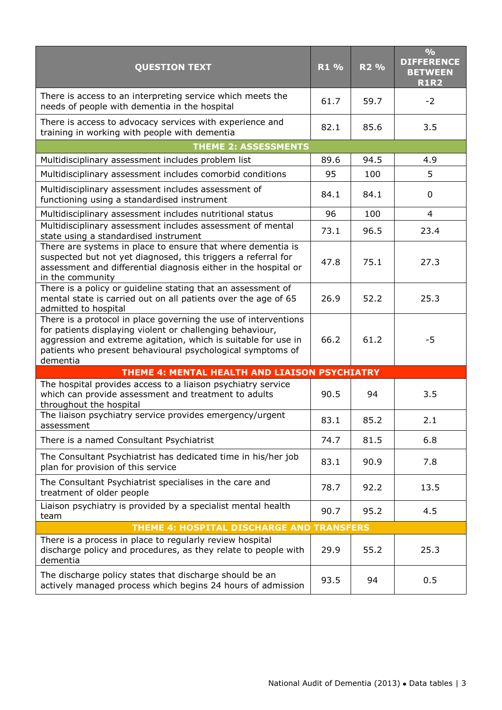| <b>QUESTION TEXT</b>                                                                                                                                                                                                                                                     | R1 % | R <sub>2</sub> % | $\frac{0}{0}$<br><b>DIFFERENCE</b><br><b>BETWEEN</b><br><b>R1R2</b> |
|--------------------------------------------------------------------------------------------------------------------------------------------------------------------------------------------------------------------------------------------------------------------------|------|------------------|---------------------------------------------------------------------|
| There is access to an interpreting service which meets the<br>needs of people with dementia in the hospital                                                                                                                                                              | 61.7 | 59.7             | $-2$                                                                |
| There is access to advocacy services with experience and<br>training in working with people with dementia                                                                                                                                                                | 82.1 | 85.6             | 3.5                                                                 |
| <b>THEME 2: ASSESSMENTS</b>                                                                                                                                                                                                                                              |      |                  |                                                                     |
| Multidisciplinary assessment includes problem list                                                                                                                                                                                                                       | 89.6 | 94.5             | 4.9                                                                 |
| Multidisciplinary assessment includes comorbid conditions                                                                                                                                                                                                                | 95   | 100              | 5                                                                   |
| Multidisciplinary assessment includes assessment of<br>functioning using a standardised instrument                                                                                                                                                                       | 84.1 | 84.1             | 0                                                                   |
| Multidisciplinary assessment includes nutritional status                                                                                                                                                                                                                 | 96   | 100              | 4                                                                   |
| Multidisciplinary assessment includes assessment of mental<br>state using a standardised instrument                                                                                                                                                                      | 73.1 | 96.5             | 23.4                                                                |
| There are systems in place to ensure that where dementia is<br>suspected but not yet diagnosed, this triggers a referral for<br>assessment and differential diagnosis either in the hospital or<br>in the community                                                      | 47.8 | 75.1             | 27.3                                                                |
| There is a policy or guideline stating that an assessment of<br>mental state is carried out on all patients over the age of 65<br>admitted to hospital                                                                                                                   | 26.9 | 52.2             | 25.3                                                                |
| There is a protocol in place governing the use of interventions<br>for patients displaying violent or challenging behaviour,<br>aggression and extreme agitation, which is suitable for use in<br>patients who present behavioural psychological symptoms of<br>dementia | 66.2 | 61.2             | -5                                                                  |
| THEME 4: MENTAL HEALTH AND LIAISON PSYCHIATRY                                                                                                                                                                                                                            |      |                  |                                                                     |
| The hospital provides access to a liaison psychiatry service<br>which can provide assessment and treatment to adults<br>throughout the hospital                                                                                                                          | 90.5 | 94               | 3.5                                                                 |
| The liaison psychiatry service provides emergency/urgent<br>assessment                                                                                                                                                                                                   | 83.1 | 85.2             | 2.1                                                                 |
| There is a named Consultant Psychiatrist                                                                                                                                                                                                                                 | 74.7 | 81.5             | 6.8                                                                 |
| The Consultant Psychiatrist has dedicated time in his/her job<br>plan for provision of this service                                                                                                                                                                      | 83.1 | 90.9             | 7.8                                                                 |
| The Consultant Psychiatrist specialises in the care and<br>treatment of older people                                                                                                                                                                                     | 78.7 | 92.2             | 13.5                                                                |
| Liaison psychiatry is provided by a specialist mental health<br>team                                                                                                                                                                                                     | 90.7 | 95.2             | 4.5                                                                 |
| THEME 4: HOSPITAL DISCHARGE AND TRANSFERS                                                                                                                                                                                                                                |      |                  |                                                                     |
| There is a process in place to regularly review hospital<br>discharge policy and procedures, as they relate to people with<br>dementia                                                                                                                                   | 29.9 | 55.2             | 25.3                                                                |
| The discharge policy states that discharge should be an<br>actively managed process which begins 24 hours of admission                                                                                                                                                   | 93.5 | 94               | 0.5                                                                 |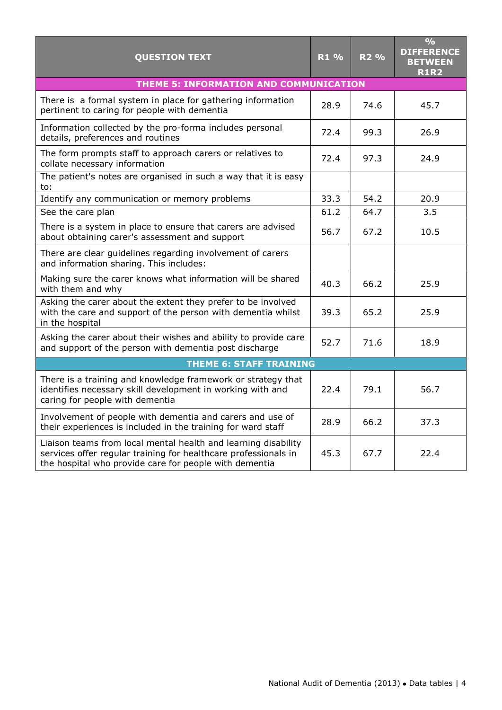| <b>QUESTION TEXT</b>                                                                                                                                                                        | R1 % | R <sub>2</sub> % | $\frac{1}{2}$<br><b>DIFFERENCE</b><br><b>BETWEEN</b><br><b>R1R2</b> |
|---------------------------------------------------------------------------------------------------------------------------------------------------------------------------------------------|------|------------------|---------------------------------------------------------------------|
| THEME 5: INFORMATION AND COMMUNICATION                                                                                                                                                      |      |                  |                                                                     |
| There is a formal system in place for gathering information<br>pertinent to caring for people with dementia                                                                                 | 28.9 | 74.6             | 45.7                                                                |
| Information collected by the pro-forma includes personal<br>details, preferences and routines                                                                                               | 72.4 | 99.3             | 26.9                                                                |
| The form prompts staff to approach carers or relatives to<br>collate necessary information                                                                                                  | 72.4 | 97.3             | 24.9                                                                |
| The patient's notes are organised in such a way that it is easy<br>to:                                                                                                                      |      |                  |                                                                     |
| Identify any communication or memory problems                                                                                                                                               | 33.3 | 54.2             | 20.9                                                                |
| See the care plan                                                                                                                                                                           | 61.2 | 64.7             | 3.5                                                                 |
| There is a system in place to ensure that carers are advised<br>about obtaining carer's assessment and support                                                                              | 56.7 | 67.2             | 10.5                                                                |
| There are clear guidelines regarding involvement of carers<br>and information sharing. This includes:                                                                                       |      |                  |                                                                     |
| Making sure the carer knows what information will be shared<br>with them and why                                                                                                            | 40.3 | 66.2             | 25.9                                                                |
| Asking the carer about the extent they prefer to be involved<br>with the care and support of the person with dementia whilst<br>in the hospital                                             | 39.3 | 65.2             | 25.9                                                                |
| Asking the carer about their wishes and ability to provide care<br>and support of the person with dementia post discharge                                                                   | 52.7 | 71.6             | 18.9                                                                |
| <b>THEME 6: STAFF TRAINING</b>                                                                                                                                                              |      |                  |                                                                     |
| There is a training and knowledge framework or strategy that<br>identifies necessary skill development in working with and<br>caring for people with dementia                               | 22.4 | 79.1             | 56.7                                                                |
| Involvement of people with dementia and carers and use of<br>their experiences is included in the training for ward staff                                                                   | 28.9 | 66.2             | 37.3                                                                |
| Liaison teams from local mental health and learning disability<br>services offer regular training for healthcare professionals in<br>the hospital who provide care for people with dementia | 45.3 | 67.7             | 22.4                                                                |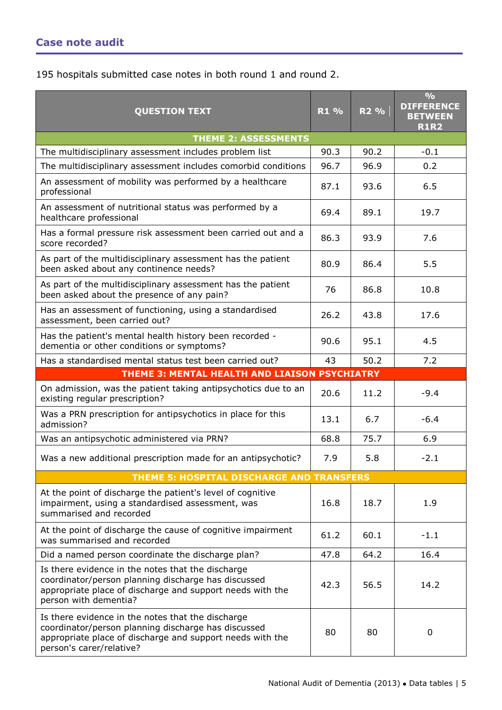195 hospitals submitted case notes in both round 1 and round 2.

| <b>QUESTION TEXT</b>                                                                                                                                                                              | R1 % | R <sub>2</sub> % | $\frac{9}{6}$<br><b>DIFFERENCE</b><br><b>BETWEEN</b><br><b>R1R2</b> |
|---------------------------------------------------------------------------------------------------------------------------------------------------------------------------------------------------|------|------------------|---------------------------------------------------------------------|
| <b>THEME 2: ASSESSMENTS</b>                                                                                                                                                                       |      |                  |                                                                     |
| The multidisciplinary assessment includes problem list                                                                                                                                            | 90.3 | 90.2             | $-0.1$                                                              |
| The multidisciplinary assessment includes comorbid conditions                                                                                                                                     | 96.7 | 96.9             | 0.2                                                                 |
| An assessment of mobility was performed by a healthcare<br>professional                                                                                                                           | 87.1 | 93.6             | 6.5                                                                 |
| An assessment of nutritional status was performed by a<br>healthcare professional                                                                                                                 | 69.4 | 89.1             | 19.7                                                                |
| Has a formal pressure risk assessment been carried out and a<br>score recorded?                                                                                                                   | 86.3 | 93.9             | 7.6                                                                 |
| As part of the multidisciplinary assessment has the patient<br>been asked about any continence needs?                                                                                             | 80.9 | 86.4             | 5.5                                                                 |
| As part of the multidisciplinary assessment has the patient<br>been asked about the presence of any pain?                                                                                         | 76   | 86.8             | 10.8                                                                |
| Has an assessment of functioning, using a standardised<br>assessment, been carried out?                                                                                                           | 26.2 | 43.8             | 17.6                                                                |
| Has the patient's mental health history been recorded -<br>dementia or other conditions or symptoms?                                                                                              | 90.6 | 95.1             | 4.5                                                                 |
| Has a standardised mental status test been carried out?                                                                                                                                           | 43   | 50.2             | 7.2                                                                 |
| THEME 3: MENTAL HEALTH AND LIAISON PSYCHIATRY                                                                                                                                                     |      |                  |                                                                     |
| On admission, was the patient taking antipsychotics due to an<br>existing regular prescription?                                                                                                   | 20.6 | 11.2             | $-9.4$                                                              |
| Was a PRN prescription for antipsychotics in place for this<br>admission?                                                                                                                         | 13.1 | 6.7              | $-6.4$                                                              |
| Was an antipsychotic administered via PRN?                                                                                                                                                        | 68.8 | 75.7             | 6.9                                                                 |
| Was a new additional prescription made for an antipsychotic?                                                                                                                                      | 7.9  | 5.8              | $-2.1$                                                              |
| THEME 5: HOSPITAL DISCHARGE AND TRANSFERS                                                                                                                                                         |      |                  |                                                                     |
| At the point of discharge the patient's level of cognitive<br>impairment, using a standardised assessment, was<br>summarised and recorded                                                         | 16.8 | 18.7             | 1.9                                                                 |
| At the point of discharge the cause of cognitive impairment<br>was summarised and recorded                                                                                                        | 61.2 | 60.1             | $-1.1$                                                              |
| Did a named person coordinate the discharge plan?                                                                                                                                                 | 47.8 | 64.2             | 16.4                                                                |
| Is there evidence in the notes that the discharge<br>coordinator/person planning discharge has discussed<br>appropriate place of discharge and support needs with the<br>person with dementia?    | 42.3 | 56.5             | 14.2                                                                |
| Is there evidence in the notes that the discharge<br>coordinator/person planning discharge has discussed<br>appropriate place of discharge and support needs with the<br>person's carer/relative? | 80   | 80               | 0                                                                   |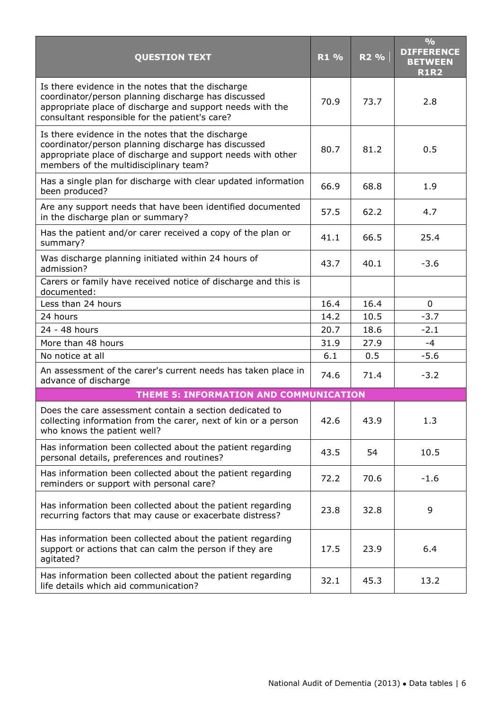| <b>QUESTION TEXT</b>                                                                                                                                                                                                    | R1 % | R <sub>2</sub> % | $\frac{1}{2}$<br><b>DIFFERENCE</b><br><b>BETWEEN</b><br><b>R1R2</b> |
|-------------------------------------------------------------------------------------------------------------------------------------------------------------------------------------------------------------------------|------|------------------|---------------------------------------------------------------------|
| Is there evidence in the notes that the discharge<br>coordinator/person planning discharge has discussed<br>appropriate place of discharge and support needs with the<br>consultant responsible for the patient's care? | 70.9 | 73.7             | 2.8                                                                 |
| Is there evidence in the notes that the discharge<br>coordinator/person planning discharge has discussed<br>appropriate place of discharge and support needs with other<br>members of the multidisciplinary team?       | 80.7 | 81.2             | 0.5                                                                 |
| Has a single plan for discharge with clear updated information<br>been produced?                                                                                                                                        | 66.9 | 68.8             | 1.9                                                                 |
| Are any support needs that have been identified documented<br>in the discharge plan or summary?                                                                                                                         | 57.5 | 62.2             | 4.7                                                                 |
| Has the patient and/or carer received a copy of the plan or<br>summary?                                                                                                                                                 | 41.1 | 66.5             | 25.4                                                                |
| Was discharge planning initiated within 24 hours of<br>admission?                                                                                                                                                       | 43.7 | 40.1             | $-3.6$                                                              |
| Carers or family have received notice of discharge and this is<br>documented:                                                                                                                                           |      |                  |                                                                     |
| Less than 24 hours                                                                                                                                                                                                      | 16.4 | 16.4             | 0                                                                   |
| 24 hours                                                                                                                                                                                                                | 14.2 | 10.5             | $-3.7$                                                              |
| 24 - 48 hours                                                                                                                                                                                                           | 20.7 | 18.6             | $-2.1$                                                              |
| More than 48 hours                                                                                                                                                                                                      | 31.9 | 27.9             | $-4$                                                                |
| No notice at all                                                                                                                                                                                                        | 6.1  | 0.5              | $-5.6$                                                              |
| An assessment of the carer's current needs has taken place in<br>advance of discharge                                                                                                                                   | 74.6 | 71.4             | $-3.2$                                                              |
| THEME 5: INFORMATION AND COMMUNICATION                                                                                                                                                                                  |      |                  |                                                                     |
| Does the care assessment contain a section dedicated to<br>collecting information from the carer, next of kin or a person<br>who knows the patient well?                                                                | 42.6 | 43.9             | 1.3                                                                 |
| Has information been collected about the patient regarding<br>personal details, preferences and routines?                                                                                                               | 43.5 | 54               | 10.5                                                                |
| Has information been collected about the patient regarding<br>reminders or support with personal care?                                                                                                                  | 72.2 | 70.6             | $-1.6$                                                              |
| Has information been collected about the patient regarding<br>recurring factors that may cause or exacerbate distress?                                                                                                  | 23.8 | 32.8             | 9                                                                   |
| Has information been collected about the patient regarding<br>support or actions that can calm the person if they are<br>agitated?                                                                                      | 17.5 | 23.9             | 6.4                                                                 |
| Has information been collected about the patient regarding<br>life details which aid communication?                                                                                                                     | 32.1 | 45.3             | 13.2                                                                |